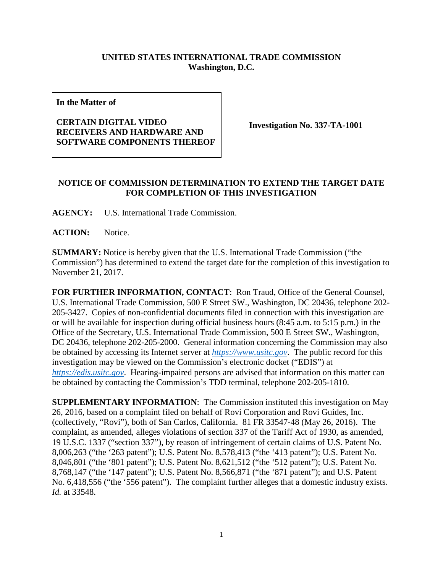## **UNITED STATES INTERNATIONAL TRADE COMMISSION Washington, D.C.**

**In the Matter of**

## **CERTAIN DIGITAL VIDEO RECEIVERS AND HARDWARE AND SOFTWARE COMPONENTS THEREOF**

**Investigation No. 337-TA-1001**

## **NOTICE OF COMMISSION DETERMINATION TO EXTEND THE TARGET DATE FOR COMPLETION OF THIS INVESTIGATION**

**AGENCY:** U.S. International Trade Commission.

**ACTION:** Notice.

**SUMMARY:** Notice is hereby given that the U.S. International Trade Commission ("the Commission") has determined to extend the target date for the completion of this investigation to November 21, 2017.

**FOR FURTHER INFORMATION, CONTACT**: Ron Traud, Office of the General Counsel, U.S. International Trade Commission, 500 E Street SW., Washington, DC 20436, telephone 202- 205-3427. Copies of non-confidential documents filed in connection with this investigation are or will be available for inspection during official business hours (8:45 a.m. to 5:15 p.m.) in the Office of the Secretary, U.S. International Trade Commission, 500 E Street SW., Washington, DC 20436, telephone 202-205-2000. General information concerning the Commission may also be obtained by accessing its Internet server at *[https://www.usitc.gov](https://www.usitc.gov/)*. The public record for this investigation may be viewed on the Commission's electronic docket ("EDIS") at *[https://edis.usitc.gov](https://edis.usitc.gov/)*. Hearing-impaired persons are advised that information on this matter can be obtained by contacting the Commission's TDD terminal, telephone 202-205-1810.

**SUPPLEMENTARY INFORMATION**: The Commission instituted this investigation on May 26, 2016, based on a complaint filed on behalf of Rovi Corporation and Rovi Guides, Inc. (collectively, "Rovi"), both of San Carlos, California. 81 FR 33547-48 (May 26, 2016). The complaint, as amended, alleges violations of section 337 of the Tariff Act of 1930, as amended, 19 U.S.C. 1337 ("section 337"), by reason of infringement of certain claims of U.S. Patent No. 8,006,263 ("the '263 patent"); U.S. Patent No. 8,578,413 ("the '413 patent"); U.S. Patent No. 8,046,801 ("the '801 patent"); U.S. Patent No. 8,621,512 ("the '512 patent"); U.S. Patent No. 8,768,147 ("the '147 patent"); U.S. Patent No. 8,566,871 ("the '871 patent"); and U.S. Patent No. 6,418,556 ("the '556 patent"). The complaint further alleges that a domestic industry exists. *Id.* at 33548.